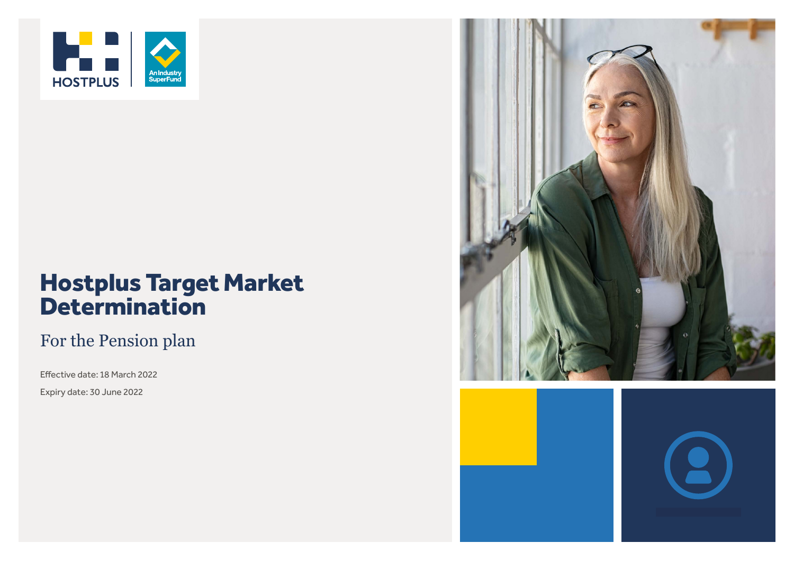

# Hostplus Target Market **Determination**

### For the Pension plan

Effective date: 18 March 2022 Expiry date: 30 June 2022

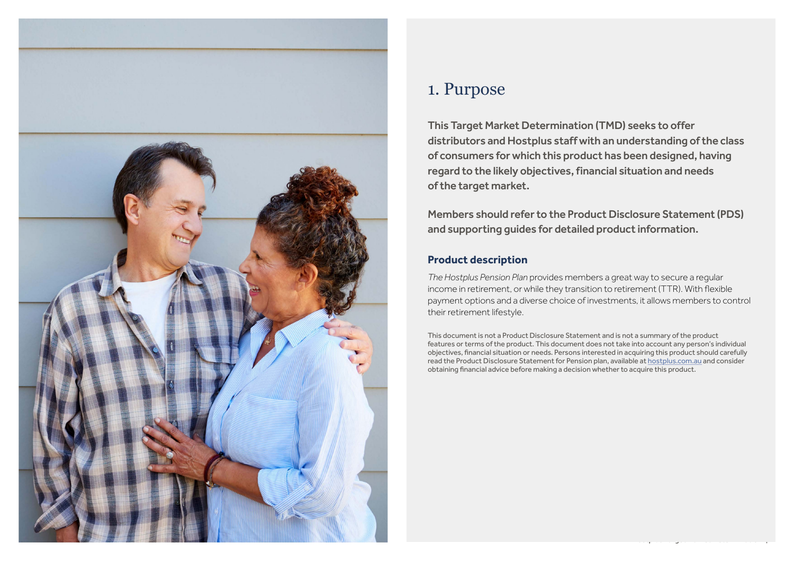

### 1. Purpose

This Target Market Determination (TMD) seeks to offer distributors and Hostplus staff with an understanding of the class of consumers for which this product has been designed, having regard to the likely objectives, financial situation and needs of the target market.

Members should refer to the Product Disclosure Statement (PDS) and supporting guides for detailed product information.

### **Product description**

*The Hostplus Pension Plan* provides members a great way to secure a regular income in retirement, or while they transition to retirement (TTR). With flexible payment options and a diverse choice of investments, it allows members to control their retirement lifestyle.

This document is not a Product Disclosure Statement and is not a summary of the product features or terms of the product. This document does not take into account any person's individual objectives, financial situation or needs. Persons interested in acquiring this product should carefully read the Product Disclosure Statement for Pension plan, available at [hostplus.com.au](https://hostplus.com.au) and consider obtaining financial advice before making a decision whether to acquire this product.

Hostplus Target Market Determination | 2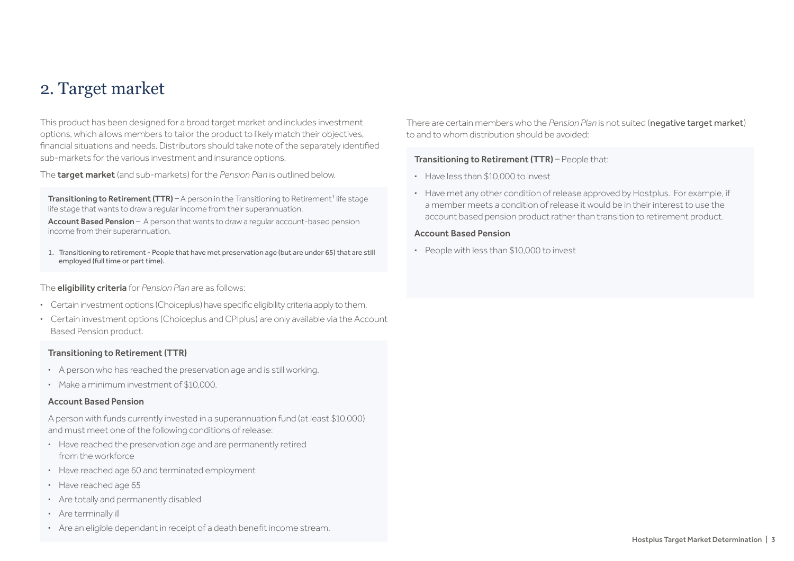### 2. Target market

This product has been designed for a broad target market and includes investment options, which allows members to tailor the product to likely match their objectives, financial situations and needs. Distributors should take note of the separately identified sub-markets for the various investment and insurance options.

The target market (and sub-markets) for the *Pension Plan* is outlined below.

**Transitioning to Retirement (TTR)** – A person in the Transitioning to Retirement<sup>1</sup> life stage life stage that wants to draw a regular income from their superannuation.

Account Based Pension – A person that wants to draw a regular account-based pension income from their superannuation.

1. Transitioning to retirement - People that have met preservation age (but are under 65) that are still employed (full time or part time).

The eligibility criteria for *Pension Plan* are as follows:

- **·** Certain investment options (Choiceplus) have specific eligibility criteria apply to them.
- **·** Certain investment options (Choiceplus and CPIplus) are only available via the Account Based Pension product.

#### Transitioning to Retirement (TTR)

- **·** A person who has reached the preservation age and is still working.
- **·** Make a minimum investment of \$10,000.

#### Account Based Pension

A person with funds currently invested in a superannuation fund (at least \$10,000) and must meet one of the following conditions of release:

- **·** Have reached the preservation age and are permanently retired from the workforce
- **·** Have reached age 60 and terminated employment
- **·** Have reached age 65
- **·** Are totally and permanently disabled
- **·** Are terminally ill
- **·** Are an eligible dependant in receipt of a death benefit income stream.

There are certain members who the *Pension Plan* is not suited (negative target market) to and to whom distribution should be avoided:

#### Transitioning to Retirement (TTR) - People that:

- **·** Have less than \$10,000 to invest
- **·** Have met any other condition of release approved by Hostplus. For example, if a member meets a condition of release it would be in their interest to use the account based pension product rather than transition to retirement product.

#### Account Based Pension

**·** People with less than \$10,000 to invest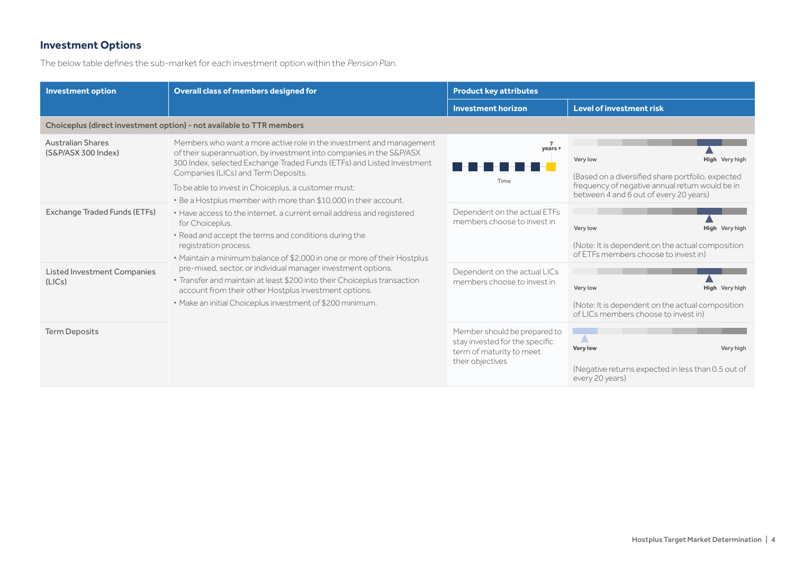### **Investment Options**

The below table defines the sub-market for each investment option within the *Pension Plan*.

| <b>Investment option</b>                        | Overall class of members designed for<br><b>Product key attributes</b>                                                                                                                                                                                                                                                                                                                                                                                                                                                                                                                                                                                                                                                                                                                                                                                                                                                |                                                                                                                |                                                                                                                                                                              |
|-------------------------------------------------|-----------------------------------------------------------------------------------------------------------------------------------------------------------------------------------------------------------------------------------------------------------------------------------------------------------------------------------------------------------------------------------------------------------------------------------------------------------------------------------------------------------------------------------------------------------------------------------------------------------------------------------------------------------------------------------------------------------------------------------------------------------------------------------------------------------------------------------------------------------------------------------------------------------------------|----------------------------------------------------------------------------------------------------------------|------------------------------------------------------------------------------------------------------------------------------------------------------------------------------|
|                                                 |                                                                                                                                                                                                                                                                                                                                                                                                                                                                                                                                                                                                                                                                                                                                                                                                                                                                                                                       | <b>Investment horizon</b>                                                                                      | <b>Level of investment risk</b>                                                                                                                                              |
|                                                 | Choiceplus (direct investment option) - not available to TTR members                                                                                                                                                                                                                                                                                                                                                                                                                                                                                                                                                                                                                                                                                                                                                                                                                                                  |                                                                                                                |                                                                                                                                                                              |
| <b>Australian Shares</b><br>(S&P/ASX 300 Index) | Members who want a more active role in the investment and management<br>of their superannuation, by investment into companies in the S&P/ASX<br>300 Index, selected Exchange Traded Funds (ETFs) and Listed Investment<br>Companies (LICs) and Term Deposits.<br>To be able to invest in Choiceplus, a customer must:<br>. Be a Hostplus member with more than \$10,000 in their account.<br>• Have access to the internet, a current email address and registered<br>for Choiceplus.<br>. Read and accept the terms and conditions during the<br>registration process.<br>• Maintain a minimum balance of \$2,000 in one or more of their Hostplus<br>pre-mixed, sector, or individual manager investment options.<br>· Transfer and maintain at least \$200 into their Choiceplus transaction<br>account from their other Hostplus investment options.<br>. Make an initial Choiceplus investment of \$200 minimum. | $\overline{7}$<br>years +<br>Time                                                                              | High Very high<br>Very low<br>(Based on a diversified share portfolio, expected<br>frequency of negative annual return would be in<br>between 4 and 6 out of every 20 years) |
| Exchange Traded Funds (ETFs)                    |                                                                                                                                                                                                                                                                                                                                                                                                                                                                                                                                                                                                                                                                                                                                                                                                                                                                                                                       | Dependent on the actual ETFs<br>members choose to invest in                                                    | Very low<br><b>High</b> Very high<br>(Note: It is dependent on the actual composition<br>of ETFs members choose to invest in)                                                |
| <b>Listed Investment Companies</b><br>(LICs)    |                                                                                                                                                                                                                                                                                                                                                                                                                                                                                                                                                                                                                                                                                                                                                                                                                                                                                                                       | Dependent on the actual LICs<br>members choose to invest in                                                    | Very low<br>High Very high<br>(Note: It is dependent on the actual composition<br>of LICs members choose to invest in)                                                       |
| <b>Term Deposits</b>                            |                                                                                                                                                                                                                                                                                                                                                                                                                                                                                                                                                                                                                                                                                                                                                                                                                                                                                                                       | Member should be prepared to<br>stay invested for the specific<br>term of maturity to meet<br>their objectives | $\overline{\phantom{a}}$<br><b>Very low</b><br>Very high<br>(Negative returns expected in less than 0.5 out of<br>every 20 years)                                            |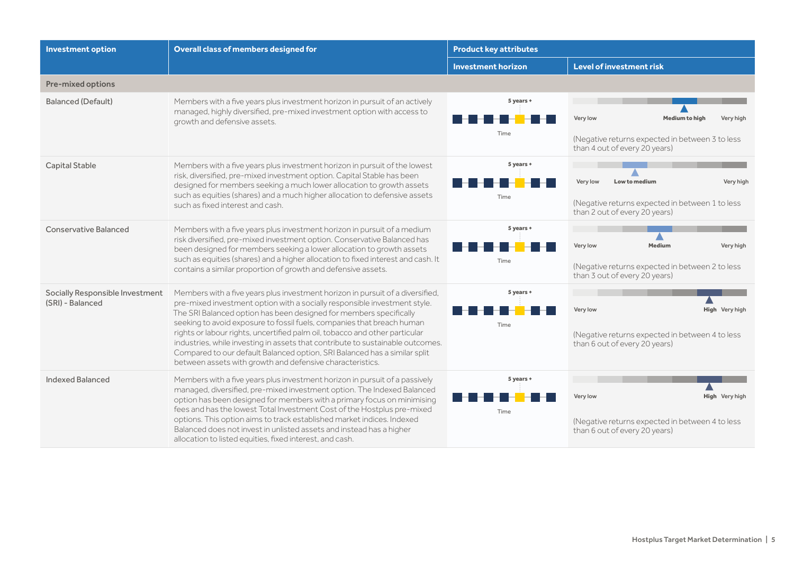| <b>Investment option</b>                            | Overall class of members designed for                                                                                                                                                                                                                                                                                                                                                                                                                                                                                                                                                                                  | <b>Product key attributes</b> |                                                                                                                                    |
|-----------------------------------------------------|------------------------------------------------------------------------------------------------------------------------------------------------------------------------------------------------------------------------------------------------------------------------------------------------------------------------------------------------------------------------------------------------------------------------------------------------------------------------------------------------------------------------------------------------------------------------------------------------------------------------|-------------------------------|------------------------------------------------------------------------------------------------------------------------------------|
|                                                     |                                                                                                                                                                                                                                                                                                                                                                                                                                                                                                                                                                                                                        | <b>Investment horizon</b>     | <b>Level of investment risk</b>                                                                                                    |
| <b>Pre-mixed options</b>                            |                                                                                                                                                                                                                                                                                                                                                                                                                                                                                                                                                                                                                        |                               |                                                                                                                                    |
| <b>Balanced (Default)</b>                           | Members with a five years plus investment horizon in pursuit of an actively<br>managed, highly diversified, pre-mixed investment option with access to<br>growth and defensive assets.                                                                                                                                                                                                                                                                                                                                                                                                                                 | 5 years +<br>Time             | Very low<br><b>Medium to high</b><br>Very high<br>(Negative returns expected in between 3 to less<br>than 4 out of every 20 years) |
| <b>Capital Stable</b>                               | Members with a five years plus investment horizon in pursuit of the lowest<br>risk, diversified, pre-mixed investment option. Capital Stable has been<br>designed for members seeking a much lower allocation to growth assets<br>such as equities (shares) and a much higher allocation to defensive assets<br>such as fixed interest and cash.                                                                                                                                                                                                                                                                       | 5 years +<br>Time             | Low to medium<br>Very low<br>Very high<br>(Negative returns expected in between 1 to less<br>than 2 out of every 20 years)         |
| <b>Conservative Balanced</b>                        | Members with a five years plus investment horizon in pursuit of a medium<br>risk diversified, pre-mixed investment option. Conservative Balanced has<br>been designed for members seeking a lower allocation to growth assets<br>such as equities (shares) and a higher allocation to fixed interest and cash. It<br>contains a similar proportion of growth and defensive assets.                                                                                                                                                                                                                                     | 5 years +<br>Time             | Very low<br><b>Medium</b><br>Very high<br>(Negative returns expected in between 2 to less<br>than 3 out of every 20 years)         |
| Socially Responsible Investment<br>(SRI) - Balanced | Members with a five years plus investment horizon in pursuit of a diversified,<br>pre-mixed investment option with a socially responsible investment style.<br>The SRI Balanced option has been designed for members specifically<br>seeking to avoid exposure to fossil fuels, companies that breach human<br>rights or labour rights, uncertified palm oil, tobacco and other particular<br>industries, while investing in assets that contribute to sustainable outcomes.<br>Compared to our default Balanced option, SRI Balanced has a similar split<br>between assets with growth and defensive characteristics. | 5 years +<br>Time             | Very low<br><b>High</b> Very high<br>(Negative returns expected in between 4 to less<br>than 6 out of every 20 years)              |
| Indexed Balanced                                    | Members with a five years plus investment horizon in pursuit of a passively<br>managed, diversified, pre-mixed investment option. The Indexed Balanced<br>option has been designed for members with a primary focus on minimising<br>fees and has the lowest Total Investment Cost of the Hostplus pre-mixed<br>options. This option aims to track established market indices. Indexed<br>Balanced does not invest in unlisted assets and instead has a higher<br>allocation to listed equities, fixed interest, and cash.                                                                                             | 5 years +<br>Time             | Very low<br><b>High</b> Very high<br>(Negative returns expected in between 4 to less<br>than 6 out of every 20 years)              |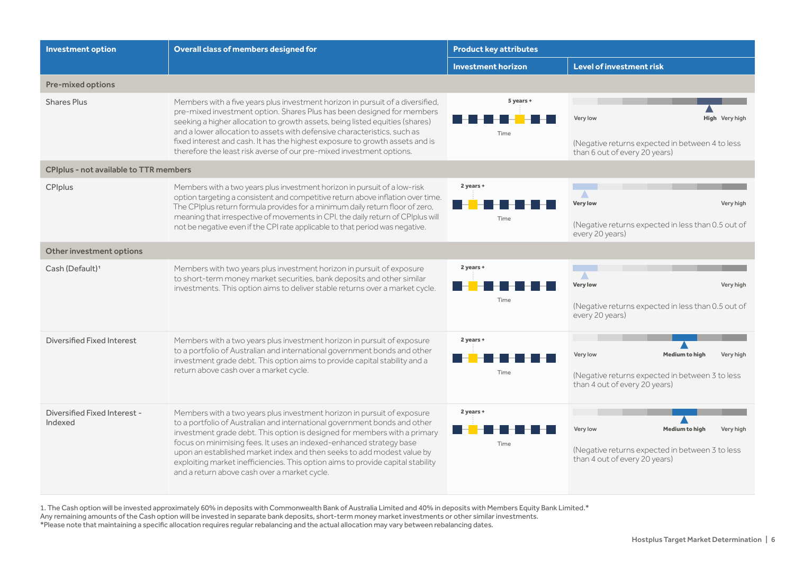| <b>Investment option</b>                      | Overall class of members designed for                                                                                                                                                                                                                                                                                                                                                                                                                                                                                 | <b>Product key attributes</b> |                                                                                                                                    |
|-----------------------------------------------|-----------------------------------------------------------------------------------------------------------------------------------------------------------------------------------------------------------------------------------------------------------------------------------------------------------------------------------------------------------------------------------------------------------------------------------------------------------------------------------------------------------------------|-------------------------------|------------------------------------------------------------------------------------------------------------------------------------|
|                                               |                                                                                                                                                                                                                                                                                                                                                                                                                                                                                                                       | <b>Investment horizon</b>     | Level of investment risk                                                                                                           |
| <b>Pre-mixed options</b>                      |                                                                                                                                                                                                                                                                                                                                                                                                                                                                                                                       |                               |                                                                                                                                    |
| <b>Shares Plus</b>                            | Members with a five years plus investment horizon in pursuit of a diversified,<br>pre-mixed investment option. Shares Plus has been designed for members<br>seeking a higher allocation to growth assets, being listed equities (shares)<br>and a lower allocation to assets with defensive characteristics, such as<br>fixed interest and cash. It has the highest exposure to growth assets and is<br>therefore the least risk averse of our pre-mixed investment options.                                          | 5 years +<br>Time             | High Very high<br>Very low<br>(Negative returns expected in between 4 to less<br>than 6 out of every 20 years)                     |
| <b>CPIplus - not available to TTR members</b> |                                                                                                                                                                                                                                                                                                                                                                                                                                                                                                                       |                               |                                                                                                                                    |
| CPIplus                                       | Members with a two years plus investment horizon in pursuit of a low-risk<br>option targeting a consistent and competitive return above inflation over time.<br>The CPIplus return formula provides for a minimum daily return floor of zero,<br>meaning that irrespective of movements in CPI, the daily return of CPIplus will<br>not be negative even if the CPI rate applicable to that period was negative.                                                                                                      | 2 years +<br>Time             | △<br><b>Very low</b><br>Very high<br>(Negative returns expected in less than 0.5 out of<br>every 20 years)                         |
| Other investment options                      |                                                                                                                                                                                                                                                                                                                                                                                                                                                                                                                       |                               |                                                                                                                                    |
| Cash (Default) <sup>1</sup>                   | Members with two years plus investment horizon in pursuit of exposure<br>to short-term money market securities, bank deposits and other similar<br>investments. This option aims to deliver stable returns over a market cycle.                                                                                                                                                                                                                                                                                       | 2 years +<br>Time             | Δ<br><b>Very low</b><br>Very high<br>(Negative returns expected in less than 0.5 out of<br>every 20 years)                         |
| Diversified Fixed Interest                    | Members with a two years plus investment horizon in pursuit of exposure<br>to a portfolio of Australian and international government bonds and other<br>investment grade debt. This option aims to provide capital stability and a<br>return above cash over a market cycle.                                                                                                                                                                                                                                          | 2 years +<br>Time             | Very low<br><b>Medium to high</b><br>Very high<br>(Negative returns expected in between 3 to less<br>than 4 out of every 20 years) |
| Diversified Fixed Interest -<br>Indexed       | Members with a two years plus investment horizon in pursuit of exposure<br>to a portfolio of Australian and international government bonds and other<br>investment grade debt. This option is designed for members with a primary<br>focus on minimising fees. It uses an indexed-enhanced strategy base<br>upon an established market index and then seeks to add modest value by<br>exploiting market inefficiencies. This option aims to provide capital stability<br>and a return above cash over a market cycle. | 2 years +<br>Time             | Very low<br><b>Medium to high</b><br>Very high<br>(Negative returns expected in between 3 to less<br>than 4 out of every 20 years) |

1. The Cash option will be invested approximately 60% in deposits with Commonwealth Bank of Australia Limited and 40% in deposits with Members Equity Bank Limited.\* Any remaining amounts of the Cash option will be invested in separate bank deposits, short-term money market investments or other similar investments.

\*Please note that maintaining a specific allocation requires regular rebalancing and the actual allocation may vary between rebalancing dates.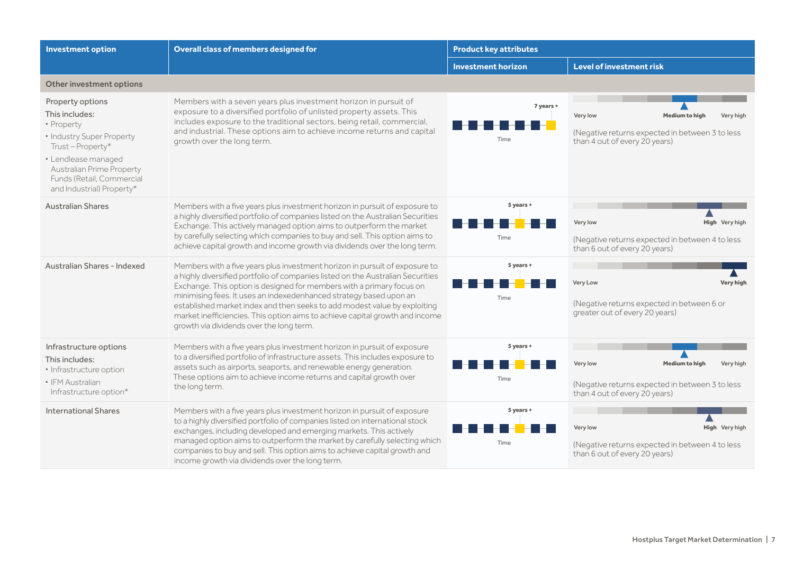| <b>Investment option</b>                                                                                                                                                                                       | Overall class of members designed for                                                                                                                                                                                                                                                                                                                                                                                                                                                                                  | <b>Product key attributes</b> |                                                                                                                                    |
|----------------------------------------------------------------------------------------------------------------------------------------------------------------------------------------------------------------|------------------------------------------------------------------------------------------------------------------------------------------------------------------------------------------------------------------------------------------------------------------------------------------------------------------------------------------------------------------------------------------------------------------------------------------------------------------------------------------------------------------------|-------------------------------|------------------------------------------------------------------------------------------------------------------------------------|
|                                                                                                                                                                                                                |                                                                                                                                                                                                                                                                                                                                                                                                                                                                                                                        | <b>Investment horizon</b>     | <b>Level of investment risk</b>                                                                                                    |
| Other investment options                                                                                                                                                                                       |                                                                                                                                                                                                                                                                                                                                                                                                                                                                                                                        |                               |                                                                                                                                    |
| Property options<br>This includes:<br>· Property<br>· Industry Super Property<br>Trust-Property*<br>· Lendlease managed<br>Australian Prime Property<br>Funds (Retail, Commercial<br>and Industrial) Property* | Members with a seven years plus investment horizon in pursuit of<br>exposure to a diversified portfolio of unlisted property assets. This<br>includes exposure to the traditional sectors, being retail, commercial,<br>and industrial. These options aim to achieve income returns and capital<br>growth over the long term.                                                                                                                                                                                          | 7 years +<br>Time             | Medium to high<br>Very low<br>Very high<br>(Negative returns expected in between 3 to less<br>than 4 out of every 20 years)        |
| <b>Australian Shares</b>                                                                                                                                                                                       | Members with a five years plus investment horizon in pursuit of exposure to<br>a highly diversified portfolio of companies listed on the Australian Securities<br>Exchange. This actively managed option aims to outperform the market<br>by carefully selecting which companies to buy and sell. This option aims to<br>achieve capital growth and income growth via dividends over the long term.                                                                                                                    | 5 years +<br>Time             | Very low<br>High Very high<br>(Negative returns expected in between 4 to less<br>than 6 out of every 20 years)                     |
| Australian Shares - Indexed                                                                                                                                                                                    | Members with a five years plus investment horizon in pursuit of exposure to<br>a highly diversified portfolio of companies listed on the Australian Securities<br>Exchange. This option is designed for members with a primary focus on<br>minimising fees. It uses an indexedenhanced strategy based upon an<br>established market index and then seeks to add modest value by exploiting<br>market inefficiencies. This option aims to achieve capital growth and income<br>growth via dividends over the long term. | 5 years +<br>Time             | Very Low<br><b>Very high</b><br>(Negative returns expected in between 6 or<br>greater out of every 20 years)                       |
| Infrastructure options<br>This includes:<br>· Infrastructure option<br>· IFM Australian<br>Infrastructure option*                                                                                              | Members with a five years plus investment horizon in pursuit of exposure<br>to a diversified portfolio of infrastructure assets. This includes exposure to<br>assets such as airports, seaports, and renewable energy generation.<br>These options aim to achieve income returns and capital growth over<br>the long term.                                                                                                                                                                                             | 5 years +<br>Time             | Very low<br><b>Medium to high</b><br>Very high<br>(Negative returns expected in between 3 to less<br>than 4 out of every 20 years) |
| <b>International Shares</b>                                                                                                                                                                                    | Members with a five years plus investment horizon in pursuit of exposure<br>to a highly diversified portfolio of companies listed on international stock<br>exchanges, including developed and emerging markets. This actively<br>managed option aims to outperform the market by carefully selecting which<br>companies to buy and sell. This option aims to achieve capital growth and<br>income growth via dividends over the long term.                                                                            | 5 years +<br>Time             | <b>High</b> Very high<br>Very low<br>(Negative returns expected in between 4 to less<br>than 6 out of every 20 years)              |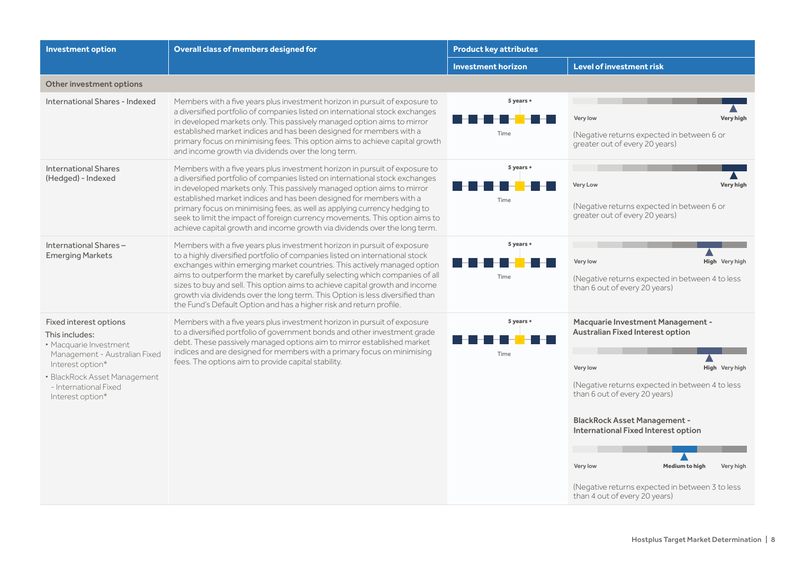| <b>Investment option</b>                                                                                                                                                                             | Overall class of members designed for                                                                                                                                                                                                                                                                                                                                                                                                                                                                                                                       | <b>Product key attributes</b> |                                                                                                                                                                                                                                                                                                                                                                                                                     |
|------------------------------------------------------------------------------------------------------------------------------------------------------------------------------------------------------|-------------------------------------------------------------------------------------------------------------------------------------------------------------------------------------------------------------------------------------------------------------------------------------------------------------------------------------------------------------------------------------------------------------------------------------------------------------------------------------------------------------------------------------------------------------|-------------------------------|---------------------------------------------------------------------------------------------------------------------------------------------------------------------------------------------------------------------------------------------------------------------------------------------------------------------------------------------------------------------------------------------------------------------|
|                                                                                                                                                                                                      |                                                                                                                                                                                                                                                                                                                                                                                                                                                                                                                                                             | <b>Investment horizon</b>     | Level of investment risk                                                                                                                                                                                                                                                                                                                                                                                            |
| Other investment options                                                                                                                                                                             |                                                                                                                                                                                                                                                                                                                                                                                                                                                                                                                                                             |                               |                                                                                                                                                                                                                                                                                                                                                                                                                     |
| International Shares - Indexed                                                                                                                                                                       | Members with a five years plus investment horizon in pursuit of exposure to<br>a diversified portfolio of companies listed on international stock exchanges<br>in developed markets only. This passively managed option aims to mirror<br>established market indices and has been designed for members with a<br>primary focus on minimising fees. This option aims to achieve capital growth<br>and income growth via dividends over the long term.                                                                                                        | 5 years +<br>Time             | Very low<br>Very high<br>(Negative returns expected in between 6 or<br>greater out of every 20 years)                                                                                                                                                                                                                                                                                                               |
| <b>International Shares</b><br>(Hedged) - Indexed                                                                                                                                                    | Members with a five years plus investment horizon in pursuit of exposure to<br>a diversified portfolio of companies listed on international stock exchanges<br>in developed markets only. This passively managed option aims to mirror<br>established market indices and has been designed for members with a<br>primary focus on minimising fees, as well as applying currency hedging to<br>seek to limit the impact of foreign currency movements. This option aims to<br>achieve capital growth and income growth via dividends over the long term.     | 5 years +<br>Time             | Very Low<br><b>Very high</b><br>(Negative returns expected in between 6 or<br>greater out of every 20 years)                                                                                                                                                                                                                                                                                                        |
| International Shares-<br><b>Emerging Markets</b>                                                                                                                                                     | Members with a five years plus investment horizon in pursuit of exposure<br>to a highly diversified portfolio of companies listed on international stock<br>exchanges within emerging market countries. This actively managed option<br>aims to outperform the market by carefully selecting which companies of all<br>sizes to buy and sell. This option aims to achieve capital growth and income<br>growth via dividends over the long term. This Option is less diversified than<br>the Fund's Default Option and has a higher risk and return profile. | 5 years +<br>Time             | Very low<br>High Very high<br>(Negative returns expected in between 4 to less)<br>than 6 out of every 20 years)                                                                                                                                                                                                                                                                                                     |
| Fixed interest options<br>This includes:<br>· Macquarie Investment<br>Management - Australian Fixed<br>Interest option*<br>· BlackRock Asset Management<br>- International Fixed<br>Interest option* | Members with a five years plus investment horizon in pursuit of exposure<br>to a diversified portfolio of government bonds and other investment grade<br>debt. These passively managed options aim to mirror established market<br>indices and are designed for members with a primary focus on minimising<br>fees. The options aim to provide capital stability.                                                                                                                                                                                           | 5 years +<br>Time             | Macquarie Investment Management -<br>Australian Fixed Interest option<br>Very low<br><b>High</b> Very high<br>(Negative returns expected in between 4 to less<br>than 6 out of every 20 years)<br><b>BlackRock Asset Management -</b><br>International Fixed Interest option<br>Very low<br><b>Medium to high</b><br>Very high<br>(Negative returns expected in between 3 to less)<br>than 4 out of every 20 years) |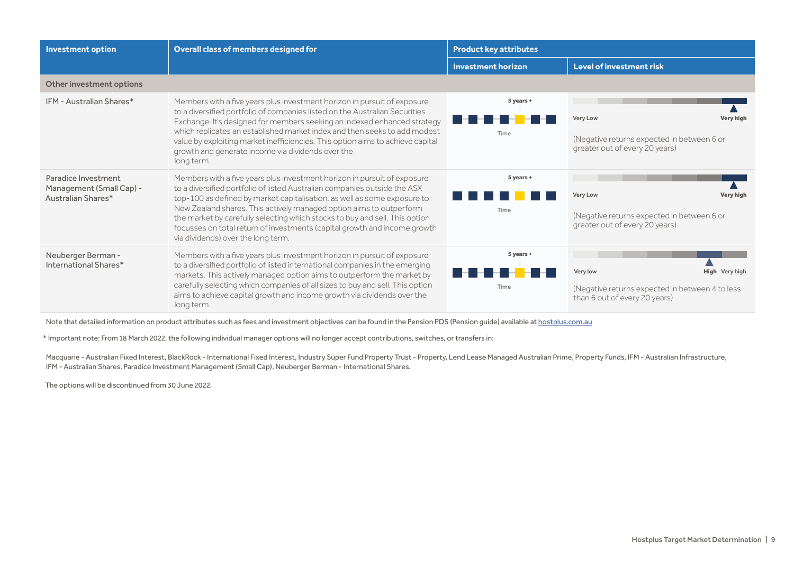| <b>Investment option</b>                                              | Overall class of members designed for                                                                                                                                                                                                                                                                                                                                                                                                                                                                      | <b>Product key attributes</b> |                                                                                                                     |
|-----------------------------------------------------------------------|------------------------------------------------------------------------------------------------------------------------------------------------------------------------------------------------------------------------------------------------------------------------------------------------------------------------------------------------------------------------------------------------------------------------------------------------------------------------------------------------------------|-------------------------------|---------------------------------------------------------------------------------------------------------------------|
|                                                                       |                                                                                                                                                                                                                                                                                                                                                                                                                                                                                                            | <b>Investment horizon</b>     | Level of investment risk                                                                                            |
| Other investment options                                              |                                                                                                                                                                                                                                                                                                                                                                                                                                                                                                            |                               |                                                                                                                     |
| IFM - Australian Shares*                                              | Members with a five years plus investment horizon in pursuit of exposure<br>to a diversified portfolio of companies listed on the Australian Securities<br>Exchange. It's designed for members seeking an indexed enhanced strategy<br>which replicates an established market index and then seeks to add modest<br>value by exploiting market inefficiencies. This option aims to achieve capital<br>growth and generate income via dividends over the<br>long term.                                      | 5 years +<br>Time             | <b>Very Low</b><br><b>Very high</b><br>(Negative returns expected in between 6 or<br>greater out of every 20 years) |
| Paradice Investment<br>Management (Small Cap) -<br>Australian Shares* | Members with a five years plus investment horizon in pursuit of exposure<br>to a diversified portfolio of listed Australian companies outside the ASX<br>top-100 as defined by market capitalisation, as well as some exposure to<br>New Zealand shares. This actively managed option aims to outperform<br>the market by carefully selecting which stocks to buy and sell. This option<br>focusses on total return of investments (capital growth and income growth<br>via dividends) over the long term. | 5 years +<br>Time             | <b>Very high</b><br><b>Very Low</b><br>(Negative returns expected in between 6 or<br>greater out of every 20 years) |
| Neuberger Berman -<br>International Shares*                           | Members with a five years plus investment horizon in pursuit of exposure<br>to a diversified portfolio of listed international companies in the emerging<br>markets. This actively managed option aims to outperform the market by<br>carefully selecting which companies of all sizes to buy and sell. This option<br>aims to achieve capital growth and income growth via dividends over the<br>long term.                                                                                               | 5 years +<br>Time             | Very low<br>High Very high<br>(Negative returns expected in between 4 to less)<br>than 6 out of every 20 years)     |

Note that detailed information on product attributes such as fees and investment objectives can be found in the Pension PDS (Pension guide) available at [hostplus.com.au](https://hostplus.com.au)

\* Important note: From 18 March 2022, the following individual manager options will no longer accept contributions, switches, or transfers in:

Macquarie - Australian Fixed Interest, BlackRock - International Fixed Interest, Industry Super Fund Property Trust - Property, Lend Lease Managed Australian Prime, Property Funds, IFM - Australian Infrastructure, IFM - Australian Shares, Paradice Investment Management (Small Cap), Neuberger Berman - International Shares.

The options will be discontinued from 30 June 2022.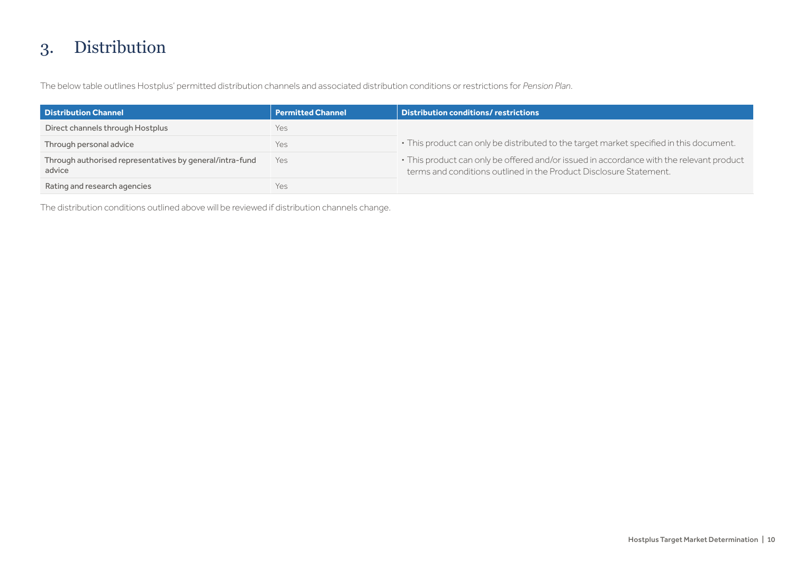## 3. Distribution

The below table outlines Hostplus' permitted distribution channels and associated distribution conditions or restrictions for *Pension Plan*.

| <b>Distribution Channel</b>                                        | <b>Permitted Channel</b> | <b>Distribution conditions/ restrictions</b>                                                                                                                   |
|--------------------------------------------------------------------|--------------------------|----------------------------------------------------------------------------------------------------------------------------------------------------------------|
| Direct channels through Hostplus                                   | Yes                      |                                                                                                                                                                |
| Through personal advice                                            | Yes                      | · This product can only be distributed to the target market specified in this document.                                                                        |
| Through authorised representatives by general/intra-fund<br>advice | Yes                      | • This product can only be offered and/or issued in accordance with the relevant product<br>terms and conditions outlined in the Product Disclosure Statement. |
| Rating and research agencies                                       | Yes                      |                                                                                                                                                                |

The distribution conditions outlined above will be reviewed if distribution channels change.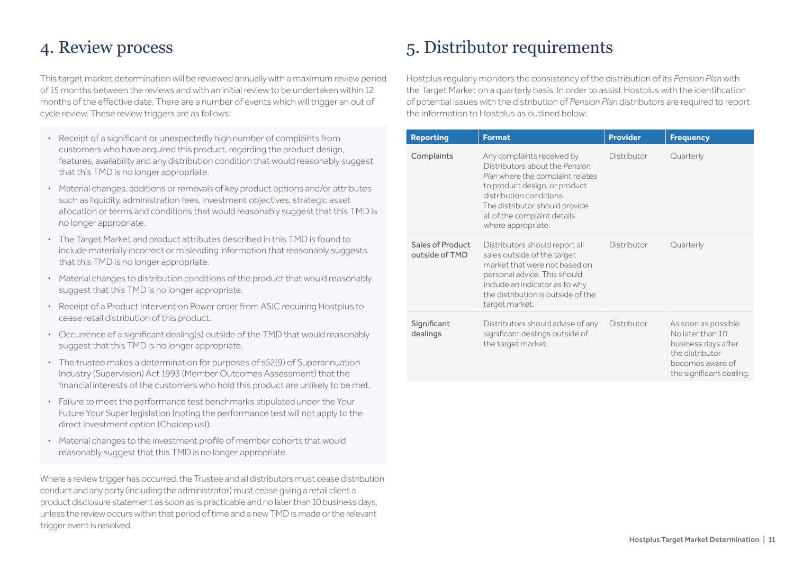### 4. Review process

This target market determination will be reviewed annually with a maximum review period of 15 months between the reviews and with an initial review to be undertaken within 12 months of the effective date. There are a number of events which will trigger an out of cycle review. These review triggers are as follows:

- **·** Receipt of a significant or unexpectedly high number of complaints from customers who have acquired this product, regarding the product design, features, availability and any distribution condition that would reasonably suggest that this TMD is no longer appropriate.
- **·** Material changes, additions or removals of key product options and/or attributes such as liquidity, administration fees, investment objectives, strategic asset allocation or terms and conditions that would reasonably suggest that this TMD is no longer appropriate.
- **·** The Target Market and product attributes described in this TMD is found to include materially incorrect or misleading information that reasonably suggests that this TMD is no longer appropriate.
- **·** Material changes to distribution conditions of the product that would reasonably suggest that this TMD is no longer appropriate.
- **·** Receipt of a Product Intervention Power order from ASIC requiring Hostplus to cease retail distribution of this product.
- **·** Occurrence of a significant dealing(s) outside of the TMD that would reasonably suggest that this TMD is no longer appropriate.
- **·** The trustee makes a determination for purposes of s52(9) of Superannuation Industry (Supervision) Act 1993 (Member Outcomes Assessment) that the financial interests of the customers who hold this product are unlikely to be met.
- **·** Failure to meet the performance test benchmarks stipulated under the Your Future Your Super legislation (noting the performance test will not apply to the direct investment option (Choiceplus)).
- **·** Material changes to the investment profile of member cohorts that would reasonably suggest that this TMD is no longer appropriate.

Where a review trigger has occurred, the Trustee and all distributors must cease distribution conduct and any party (including the administrator) must cease giving a retail client a product disclosure statement as soon as is practicable and no later than 10 business days, unless the review occurs within that period of time and a new TMD is made or the relevant trigger event is resolved.

## 5. Distributor requirements

Hostplus regularly monitors the consistency of the distribution of its *Pension Plan* with the Target Market on a quarterly basis. In order to assist Hostplus with the identification of potential issues with the distribution of *Pension Plan* distributors are required to report the information to Hostplus as outlined below:

| <b>Reporting</b>                   | <b>Format</b>                                                                                                                                                                                                                                         | <b>Provider</b> | <b>Frequency</b>                                                                                                                   |
|------------------------------------|-------------------------------------------------------------------------------------------------------------------------------------------------------------------------------------------------------------------------------------------------------|-----------------|------------------------------------------------------------------------------------------------------------------------------------|
| Complaints                         | Any complaints received by<br>Distributors about the Pension<br>Plan where the complaint relates<br>to product design, or product<br>distribution conditions.<br>The distributor should provide<br>all of the complaint details<br>where appropriate. | Distributor     | Quarterly                                                                                                                          |
| Sales of Product<br>outside of TMD | Distributors should report all<br>sales outside of the target<br>market that were not based on<br>personal advice. This should<br>include an indicator as to why<br>the distribution is outside of the<br>target market.                              | Distributor     | Quarterly                                                                                                                          |
| Significant<br>dealings            | Distributors should advise of any<br>significant dealings outside of<br>the target market.                                                                                                                                                            | Distributor     | As soon as possible.<br>No later than 10<br>business days after<br>the distributor<br>becomes aware of<br>the significant dealing. |